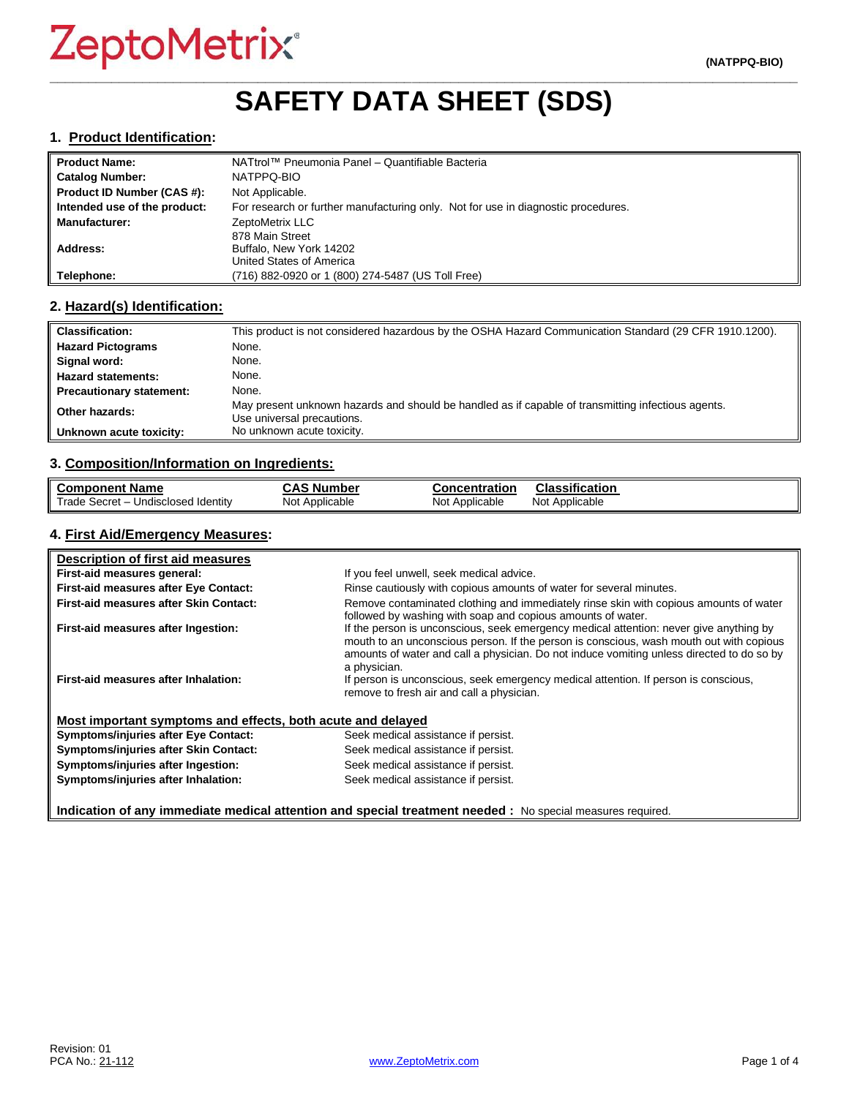# **\_\_\_\_\_\_\_\_\_\_\_\_\_\_\_\_\_\_\_\_\_\_\_\_\_\_\_\_\_\_\_\_\_\_\_\_\_\_\_\_\_\_\_\_\_\_\_\_\_\_\_\_\_\_\_\_\_\_\_\_\_\_\_\_\_\_\_\_\_\_\_\_\_\_\_\_\_\_\_\_\_\_\_\_\_\_\_\_\_\_\_\_\_\_\_\_\_ SAFETY DATA SHEET (SDS)**

#### **1. Product Identification:**

| <b>Product Name:</b>         | NATtrol™ Pneumonia Panel – Quantifiable Bacteria                                  |
|------------------------------|-----------------------------------------------------------------------------------|
| <b>Catalog Number:</b>       | NATPPQ-BIO                                                                        |
| Product ID Number (CAS #):   | Not Applicable.                                                                   |
| Intended use of the product: | For research or further manufacturing only. Not for use in diagnostic procedures. |
| <b>Manufacturer:</b>         | ZeptoMetrix LLC                                                                   |
|                              | 878 Main Street                                                                   |
| Address:                     | Buffalo, New York 14202                                                           |
|                              | United States of America                                                          |
| Telephone:                   | (716) 882-0920 or 1 (800) 274-5487 (US Toll Free)                                 |

#### **2. Hazard(s) Identification:**

| <b>Classification:</b>          | This product is not considered hazardous by the OSHA Hazard Communication Standard (29 CFR 1910.1200).                           |
|---------------------------------|----------------------------------------------------------------------------------------------------------------------------------|
| <b>Hazard Pictograms</b>        | None.                                                                                                                            |
| Signal word:                    | None.                                                                                                                            |
| <b>Hazard statements:</b>       | None.                                                                                                                            |
| <b>Precautionary statement:</b> | None.                                                                                                                            |
| Other hazards:                  | May present unknown hazards and should be handled as if capable of transmitting infectious agents.<br>Use universal precautions. |
| Unknown acute toxicity:         | No unknown acute toxicity.                                                                                                       |

#### **3. Composition/Information on Ingredients:**

| <b>Component Name</b>                    | <b>CAS Number</b> | <b>Concentration</b> | <b>Classification</b> |
|------------------------------------------|-------------------|----------------------|-----------------------|
| Trade Secret - u<br>Undisclosed Identity | Not Applicable    | Not Applicable       | Not Applicable        |

### **4. First Aid/Emergency Measures:**

| Description of first aid measures                           |                                                                                                                                                                                                                                                                                                |
|-------------------------------------------------------------|------------------------------------------------------------------------------------------------------------------------------------------------------------------------------------------------------------------------------------------------------------------------------------------------|
| First-aid measures general:                                 | If you feel unwell, seek medical advice.                                                                                                                                                                                                                                                       |
| First-aid measures after Eye Contact:                       | Rinse cautiously with copious amounts of water for several minutes.                                                                                                                                                                                                                            |
| First-aid measures after Skin Contact:                      | Remove contaminated clothing and immediately rinse skin with copious amounts of water<br>followed by washing with soap and copious amounts of water.                                                                                                                                           |
| First-aid measures after Ingestion:                         | If the person is unconscious, seek emergency medical attention: never give anything by<br>mouth to an unconscious person. If the person is conscious, wash mouth out with copious<br>amounts of water and call a physician. Do not induce vomiting unless directed to do so by<br>a physician. |
| First-aid measures after Inhalation:                        | If person is unconscious, seek emergency medical attention. If person is conscious,<br>remove to fresh air and call a physician.                                                                                                                                                               |
| Most important symptoms and effects, both acute and delayed |                                                                                                                                                                                                                                                                                                |
| <b>Symptoms/injuries after Eye Contact:</b>                 | Seek medical assistance if persist.                                                                                                                                                                                                                                                            |
| Symptoms/injuries after Skin Contact:                       | Seek medical assistance if persist.                                                                                                                                                                                                                                                            |
| Symptoms/injuries after Ingestion:                          | Seek medical assistance if persist.                                                                                                                                                                                                                                                            |
| Symptoms/injuries after Inhalation:                         | Seek medical assistance if persist.                                                                                                                                                                                                                                                            |

**Indication of any immediate medical attention and special treatment needed :** No special measures required.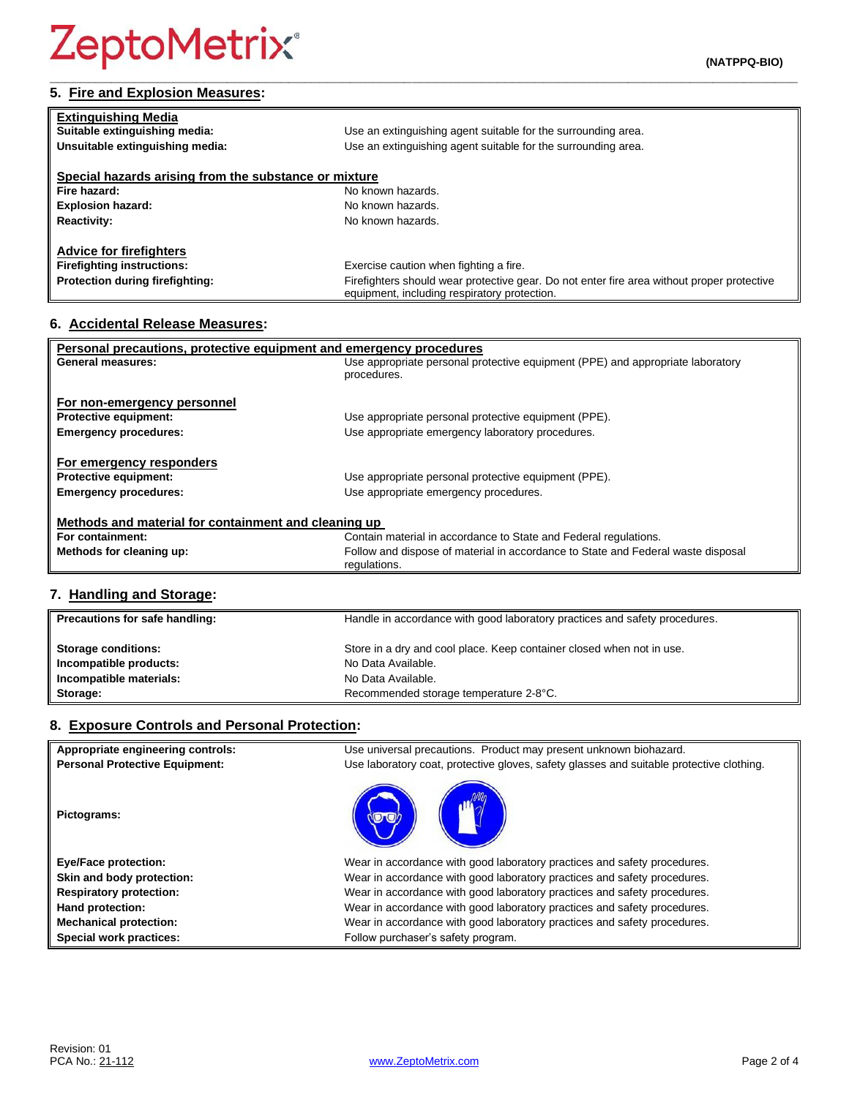# **5. Fire and Explosion Measures:**

| <b>Extinguishing Media</b>                            |                                                                                                                                            |
|-------------------------------------------------------|--------------------------------------------------------------------------------------------------------------------------------------------|
| Suitable extinguishing media:                         | Use an extinguishing agent suitable for the surrounding area.                                                                              |
| Unsuitable extinguishing media:                       | Use an extinguishing agent suitable for the surrounding area.                                                                              |
|                                                       |                                                                                                                                            |
| Special hazards arising from the substance or mixture |                                                                                                                                            |
| Fire hazard:                                          | No known hazards.                                                                                                                          |
| <b>Explosion hazard:</b>                              | No known hazards.                                                                                                                          |
| <b>Reactivity:</b>                                    | No known hazards.                                                                                                                          |
|                                                       |                                                                                                                                            |
| <b>Advice for firefighters</b>                        |                                                                                                                                            |
| <b>Firefighting instructions:</b>                     | Exercise caution when fighting a fire.                                                                                                     |
| Protection during firefighting:                       | Firefighters should wear protective gear. Do not enter fire area without proper protective<br>equipment, including respiratory protection. |

**\_\_\_\_\_\_\_\_\_\_\_\_\_\_\_\_\_\_\_\_\_\_\_\_\_\_\_\_\_\_\_\_\_\_\_\_\_\_\_\_\_\_\_\_\_\_\_\_\_\_\_\_\_\_\_\_\_\_\_\_\_\_\_\_\_\_\_\_\_\_\_\_\_\_\_\_\_\_\_\_\_\_\_\_\_\_\_\_\_\_\_\_\_\_\_\_\_**

# **6. Accidental Release Measures:**

| Personal precautions, protective equipment and emergency procedures |                                                                                  |  |
|---------------------------------------------------------------------|----------------------------------------------------------------------------------|--|
| General measures:                                                   | Use appropriate personal protective equipment (PPE) and appropriate laboratory   |  |
|                                                                     | procedures.                                                                      |  |
| For non-emergency personnel                                         |                                                                                  |  |
| <b>Protective equipment:</b>                                        | Use appropriate personal protective equipment (PPE).                             |  |
| <b>Emergency procedures:</b>                                        | Use appropriate emergency laboratory procedures.                                 |  |
|                                                                     |                                                                                  |  |
| For emergency responders                                            |                                                                                  |  |
| <b>Protective equipment:</b>                                        | Use appropriate personal protective equipment (PPE).                             |  |
| <b>Emergency procedures:</b>                                        | Use appropriate emergency procedures.                                            |  |
|                                                                     |                                                                                  |  |
| Methods and material for containment and cleaning up                |                                                                                  |  |
| For containment:                                                    | Contain material in accordance to State and Federal regulations.                 |  |
| Methods for cleaning up:                                            | Follow and dispose of material in accordance to State and Federal waste disposal |  |
|                                                                     | regulations.                                                                     |  |

# **7. Handling and Storage:**

| Precautions for safe handling: | Handle in accordance with good laboratory practices and safety procedures. |
|--------------------------------|----------------------------------------------------------------------------|
| <b>Storage conditions:</b>     | Store in a dry and cool place. Keep container closed when not in use.      |
| Incompatible products:         | No Data Available.                                                         |
| Incompatible materials:        | No Data Available.                                                         |
| Storage:                       | Recommended storage temperature 2-8°C.                                     |

# **8. Exposure Controls and Personal Protection:**

| Appropriate engineering controls:     | Use universal precautions. Product may present unknown biohazard.                        |
|---------------------------------------|------------------------------------------------------------------------------------------|
| <b>Personal Protective Equipment:</b> | Use laboratory coat, protective gloves, safety glasses and suitable protective clothing. |
| Pictograms:                           |                                                                                          |
| <b>Eye/Face protection:</b>           | Wear in accordance with good laboratory practices and safety procedures.                 |
| Skin and body protection:             | Wear in accordance with good laboratory practices and safety procedures.                 |
| <b>Respiratory protection:</b>        | Wear in accordance with good laboratory practices and safety procedures.                 |
| Hand protection:                      | Wear in accordance with good laboratory practices and safety procedures.                 |
| <b>Mechanical protection:</b>         | Wear in accordance with good laboratory practices and safety procedures.                 |
| Special work practices:               | Follow purchaser's safety program.                                                       |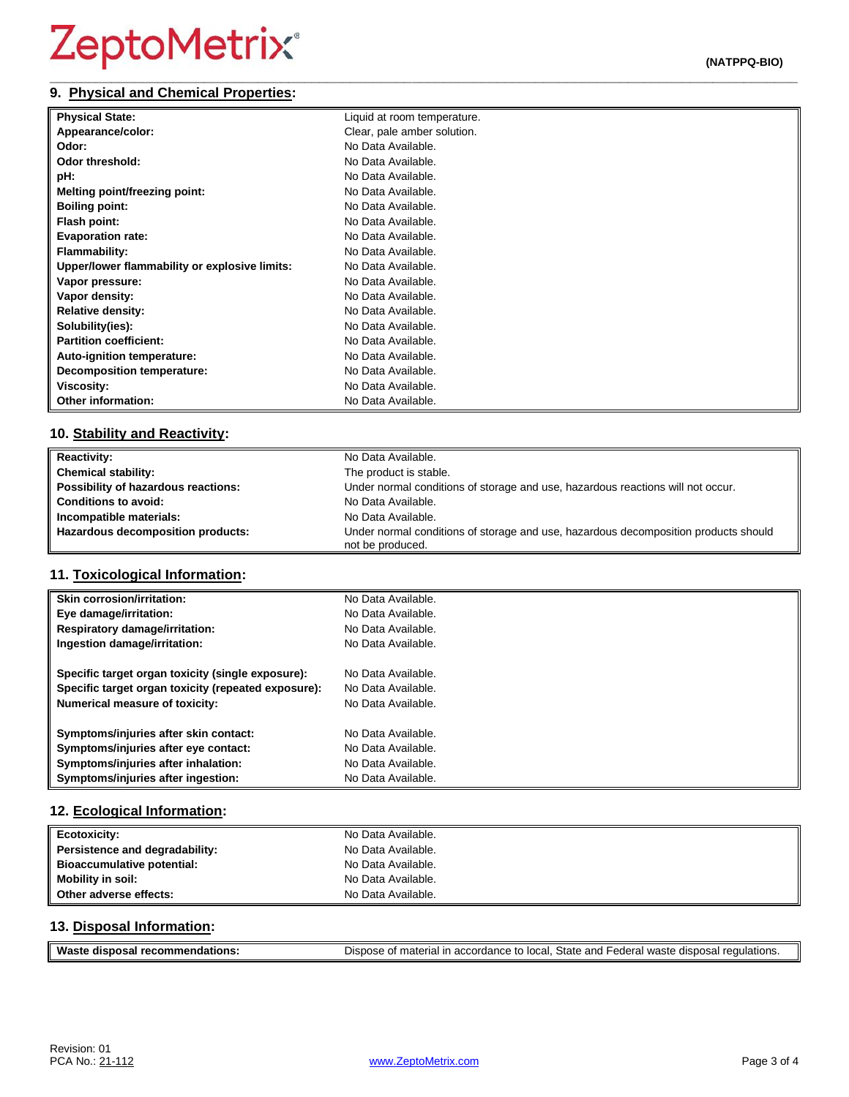#### **\_\_\_\_\_\_\_\_\_\_\_\_\_\_\_\_\_\_\_\_\_\_\_\_\_\_\_\_\_\_\_\_\_\_\_\_\_\_\_\_\_\_\_\_\_\_\_\_\_\_\_\_\_\_\_\_\_\_\_\_\_\_\_\_\_\_\_\_\_\_\_\_\_\_\_\_\_\_\_\_\_\_\_\_\_\_\_\_\_\_\_\_\_\_\_\_\_ 9. Physical and Chemical Properties:**

| <b>Physical State:</b>                        | Liquid at room temperature. |
|-----------------------------------------------|-----------------------------|
| Appearance/color:                             | Clear, pale amber solution. |
| Odor:                                         | No Data Available.          |
| Odor threshold:                               | No Data Available.          |
| pH:                                           | No Data Available.          |
| Melting point/freezing point:                 | No Data Available.          |
| <b>Boiling point:</b>                         | No Data Available.          |
| Flash point:                                  | No Data Available.          |
| <b>Evaporation rate:</b>                      | No Data Available.          |
| <b>Flammability:</b>                          | No Data Available.          |
| Upper/lower flammability or explosive limits: | No Data Available.          |
| Vapor pressure:                               | No Data Available.          |
| Vapor density:                                | No Data Available.          |
| <b>Relative density:</b>                      | No Data Available.          |
| Solubility(ies):                              | No Data Available.          |
| <b>Partition coefficient:</b>                 | No Data Available.          |
| Auto-ignition temperature:                    | No Data Available.          |
| <b>Decomposition temperature:</b>             | No Data Available.          |
| <b>Viscosity:</b>                             | No Data Available.          |
| <b>Other information:</b>                     | No Data Available.          |

# **10. Stability and Reactivity:**

| <b>Reactivity:</b>                  | No Data Available.                                                                                      |
|-------------------------------------|---------------------------------------------------------------------------------------------------------|
| <b>Chemical stability:</b>          | The product is stable.                                                                                  |
| Possibility of hazardous reactions: | Under normal conditions of storage and use, hazardous reactions will not occur.                         |
| <b>Conditions to avoid:</b>         | No Data Available.                                                                                      |
| Incompatible materials:             | No Data Available.                                                                                      |
| Hazardous decomposition products:   | Under normal conditions of storage and use, hazardous decomposition products should<br>not be produced. |

# **11. Toxicological Information:**

| <b>Skin corrosion/irritation:</b>                   | No Data Available. |
|-----------------------------------------------------|--------------------|
| Eye damage/irritation:                              | No Data Available. |
| <b>Respiratory damage/irritation:</b>               | No Data Available. |
| Ingestion damage/irritation:                        | No Data Available. |
| Specific target organ toxicity (single exposure):   | No Data Available. |
| Specific target organ toxicity (repeated exposure): | No Data Available. |
| <b>Numerical measure of toxicity:</b>               | No Data Available. |
| Symptoms/injuries after skin contact:               | No Data Available. |
| Symptoms/injuries after eye contact:                | No Data Available. |
| Symptoms/injuries after inhalation:                 | No Data Available. |
| Symptoms/injuries after ingestion:                  | No Data Available. |

# **12. Ecological Information:**

| Ecotoxicity:                   | No Data Available. |
|--------------------------------|--------------------|
| Persistence and degradability: | No Data Available. |
| Bioaccumulative potential:     | No Data Available. |
| Mobility in soil:              | No Data Available. |
| Other adverse effects:         | No Data Available. |

# **13. Disposal Information:**

| Waste<br>recommendations:<br>disposal | Dispose of material in accordance to local, State and Federal waste disposal regulations. |
|---------------------------------------|-------------------------------------------------------------------------------------------|
|                                       |                                                                                           |